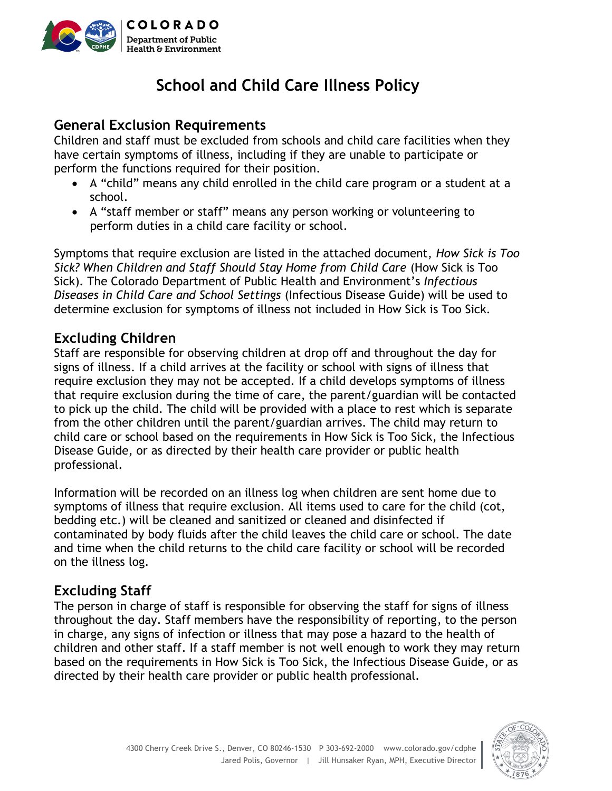

## **School and Child Care Illness Policy**

#### **General Exclusion Requirements**

Children and staff must be excluded from schools and child care facilities when they have certain symptoms of illness, including if they are unable to participate or perform the functions required for their position.

- A "child" means any child enrolled in the child care program or a student at a school.
- A "staff member or staff" means any person working or volunteering to perform duties in a child care facility or school.

Symptoms that require exclusion are listed in the attached document, *How Sick is Too Sick? When Children and Staff Should Stay Home from Child Care* (How Sick is Too Sick). The Colorado Department of Public Health and Environment's *Infectious Diseases in Child Care and School Settings* (Infectious Disease Guide) will be used to determine exclusion for symptoms of illness not included in How Sick is Too Sick.

#### **Excluding Children**

Staff are responsible for observing children at drop off and throughout the day for signs of illness. If a child arrives at the facility or school with signs of illness that require exclusion they may not be accepted. If a child develops symptoms of illness that require exclusion during the time of care, the parent/guardian will be contacted to pick up the child. The child will be provided with a place to rest which is separate from the other children until the parent/guardian arrives. The child may return to child care or school based on the requirements in How Sick is Too Sick, the Infectious Disease Guide, or as directed by their health care provider or public health professional.

Information will be recorded on an illness log when children are sent home due to symptoms of illness that require exclusion. All items used to care for the child (cot, bedding etc.) will be cleaned and sanitized or cleaned and disinfected if contaminated by body fluids after the child leaves the child care or school. The date and time when the child returns to the child care facility or school will be recorded on the illness log.

#### **Excluding Staff**

The person in charge of staff is responsible for observing the staff for signs of illness throughout the day. Staff members have the responsibility of reporting, to the person in charge, any signs of infection or illness that may pose a hazard to the health of children and other staff. If a staff member is not well enough to work they may return based on the requirements in How Sick is Too Sick, the Infectious Disease Guide, or as directed by their health care provider or public health professional.

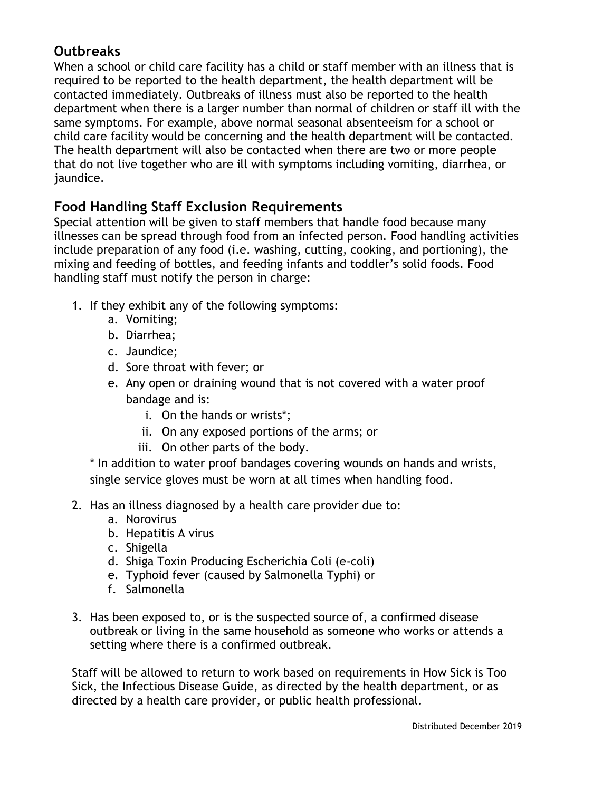### **Outbreaks**

When a school or child care facility has a child or staff member with an illness that is required to be reported to the health department, the health department will be contacted immediately. Outbreaks of illness must also be reported to the health department when there is a larger number than normal of children or staff ill with the same symptoms. For example, above normal seasonal absenteeism for a school or child care facility would be concerning and the health department will be contacted. The health department will also be contacted when there are two or more people that do not live together who are ill with symptoms including vomiting, diarrhea, or jaundice.

#### **Food Handling Staff Exclusion Requirements**

Special attention will be given to staff members that handle food because many illnesses can be spread through food from an infected person. Food handling activities include preparation of any food (i.e. washing, cutting, cooking, and portioning), the mixing and feeding of bottles, and feeding infants and toddler's solid foods. Food handling staff must notify the person in charge:

- 1. If they exhibit any of the following symptoms:
	- a. Vomiting;
	- b. Diarrhea;
	- c. Jaundice;
	- d. Sore throat with fever; or
	- e. Any open or draining wound that is not covered with a water proof bandage and is:
		- i. On the hands or wrists\*;
		- ii. On any exposed portions of the arms; or
		- iii. On other parts of the body.

\* In addition to water proof bandages covering wounds on hands and wrists, single service gloves must be worn at all times when handling food.

- 2. Has an illness diagnosed by a health care provider due to:
	- a. Norovirus
	- b. Hepatitis A virus
	- c. Shigella
	- d. Shiga Toxin Producing Escherichia Coli (e-coli)
	- e. Typhoid fever (caused by Salmonella Typhi) or
	- f. Salmonella
- 3. Has been exposed to, or is the suspected source of, a confirmed disease outbreak or living in the same household as someone who works or attends a setting where there is a confirmed outbreak.

Staff will be allowed to return to work based on requirements in How Sick is Too Sick, the Infectious Disease Guide, as directed by the health department, or as directed by a health care provider, or public health professional.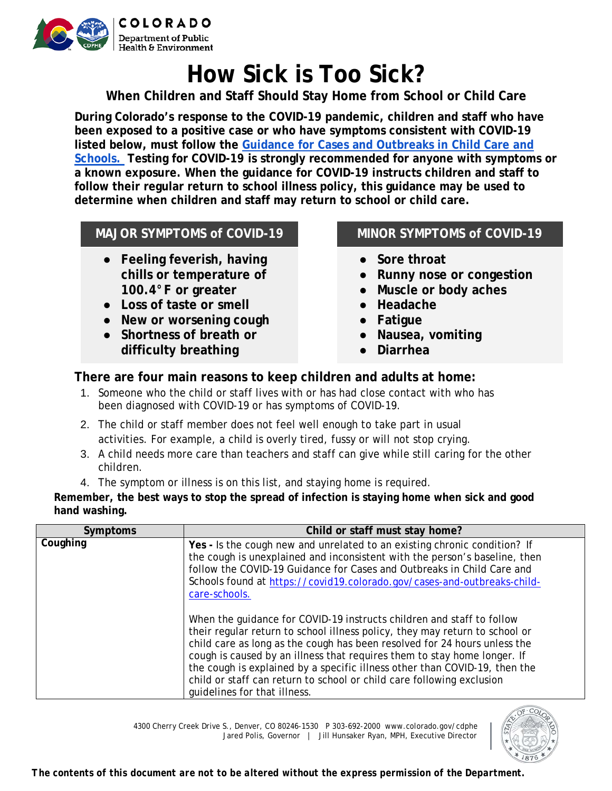

# **How Sick is Too Sick?**

**When Children and Staff Should Stay Home from School or Child Care**

**During Colorado's response to the COVID-19 pandemic, children and staff who have been exposed to a positive case or who have symptoms consistent with COVID-19 listed below, must follow the Guidance for Cases and Outbreaks in Child Care and Schools. Testing for COVID-19 is strongly recommended for anyone with symptoms or a known exposure. When the guidance for COVID-19 instructs children and staff to follow their regular return to school illness policy, this guidance may be used to determine when children and staff may return to school or child care.** 

#### **MAJOR SYMPTOMS of COVID-19 MINOR SYMPTOMS of COVID-19**

- **Feeling feverish, having chills or temperature of 100.4°F or greater**
- **Loss of taste or smell**
- **New or worsening cough**
- **Shortness of breath or difficulty breathing**

- **Sore throat**
- **Runny nose or congestion**
- **Muscle or body aches**
- **Headache**
- **Fatigue**
- **Nausea, vomiting**
- **Diarrhea**

#### **There are four main reasons to keep children and adults at home:**

- 1. Someone who the child or staff lives with or has had close contact with who has been diagnosed with COVID-19 or has symptoms of COVID-19.
- 2. The child or staff member does not feel well enough to take part in usual activities. For example, a child is overly tired, fussy or will not stop crying.
- 3. A child needs more care than teachers and staff can give while still caring for the other children.
- 4. The symptom or illness is on this list, and staying home is required.

**Remember, the best ways to stop the spread of infection is staying home when sick and good hand washing.**

| <b>Symptoms</b> | Child or staff must stay home?                                                                                                                                                                                                                                                                                                                                                                                                                                                                       |
|-----------------|------------------------------------------------------------------------------------------------------------------------------------------------------------------------------------------------------------------------------------------------------------------------------------------------------------------------------------------------------------------------------------------------------------------------------------------------------------------------------------------------------|
| Coughing        | Yes - Is the cough new and unrelated to an existing chronic condition? If<br>the cough is unexplained and inconsistent with the person's baseline, then<br>follow the COVID-19 Guidance for Cases and Outbreaks in Child Care and<br>Schools found at https://covid19.colorado.gov/cases-and-outbreaks-child-<br>care-schools.                                                                                                                                                                       |
|                 | When the guidance for COVID-19 instructs children and staff to follow<br>their regular return to school illness policy, they may return to school or<br>child care as long as the cough has been resolved for 24 hours unless the<br>cough is caused by an illness that requires them to stay home longer. If<br>the cough is explained by a specific illness other than COVID-19, then the<br>child or staff can return to school or child care following exclusion<br>quidelines for that illness. |

4300 Cherry Creek Drive S., Denver, CO 80246-1530 P 303-692-2000 www.colorado.gov/cdphe Jared Polis, Governor | Jill Hunsaker Ryan, MPH, Executive Director

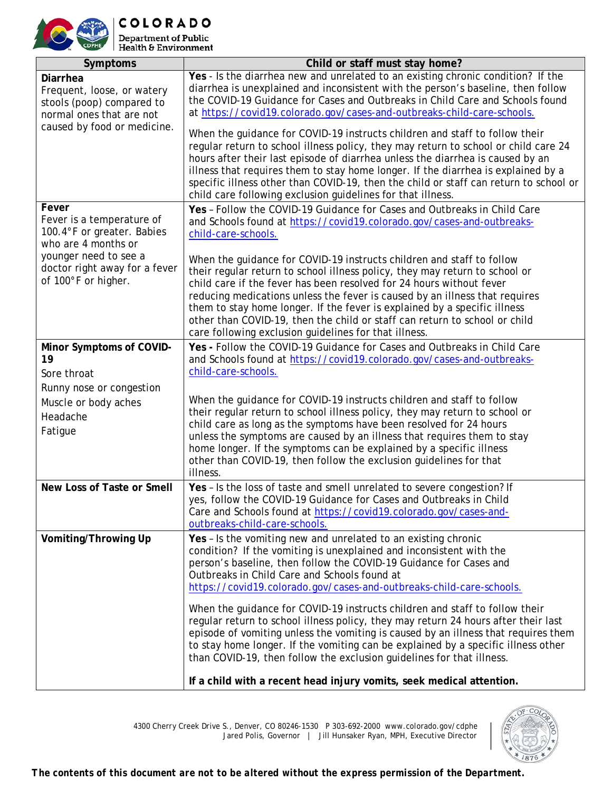

**COLORADO Department of Public Health & Environment** 

**Symptoms Child or staff must stay home? Diarrhea** Frequent, loose, or watery stools (poop) compared to normal ones that are not caused by food or medicine. **Yes** - Is the diarrhea new and unrelated to an existing chronic condition? If the diarrhea is unexplained and inconsistent with the person's baseline, then follow the COVID-19 Guidance for Cases and Outbreaks in Child Care and Schools found at https://covid19.colorado.gov/cases-and-outbreaks-child-care-schools. When the guidance for COVID-19 instructs children and staff to follow their regular return to school illness policy, they may return to school or child care 24 hours after their last episode of diarrhea unless the diarrhea is caused by an illness that requires them to stay home longer. If the diarrhea is explained by a specific illness other than COVID-19, then the child or staff can return to school or child care following exclusion guidelines for that illness. **Fever** Fever is a temperature of 100.4°F or greater. Babies who are 4 months or younger need to see a doctor right away for a fever of 100°F or higher. **Yes** – Follow the COVID-19 Guidance for Cases and Outbreaks in Child Care and Schools found at https://covid19.colorado.gov/cases-and-outbreakschild-care-schools. When the guidance for COVID-19 instructs children and staff to follow their regular return to school illness policy, they may return to school or child care if the fever has been resolved for 24 hours without fever reducing medications unless the fever is caused by an illness that requires them to stay home longer. If the fever is explained by a specific illness other than COVID-19, then the child or staff can return to school or child care following exclusion guidelines for that illness. **Minor Symptoms of COVID-19** Sore throat Runny nose or congestion Muscle or body aches Headache Fatigue **Yes -** Follow the COVID-19 Guidance for Cases and Outbreaks in Child Care and Schools found at https://covid19.colorado.gov/cases-and-outbreakschild-care-schools. When the guidance for COVID-19 instructs children and staff to follow their regular return to school illness policy, they may return to school or child care as long as the symptoms have been resolved for 24 hours unless the symptoms are caused by an illness that requires them to stay home longer. If the symptoms can be explained by a specific illness other than COVID-19, then follow the exclusion guidelines for that illness. **New Loss of Taste or Smell Yes** – Is the loss of taste and smell unrelated to severe congestion? If yes, follow the COVID-19 Guidance for Cases and Outbreaks in Child Care and Schools found at https://covid19.colorado.gov/cases-andoutbreaks-child-care-schools. **Vomiting/Throwing Up Yes** – Is the vomiting new and unrelated to an existing chronic condition? If the vomiting is unexplained and inconsistent with the person's baseline, then follow the COVID-19 Guidance for Cases and Outbreaks in Child Care and Schools found at https://covid19.colorado.gov/cases-and-outbreaks-child-care-schools. When the guidance for COVID-19 instructs children and staff to follow their regular return to school illness policy, they may return 24 hours after their last episode of vomiting unless the vomiting is caused by an illness that requires them to stay home longer. If the vomiting can be explained by a specific illness other than COVID-19, then follow the exclusion guidelines for that illness. **If a child with a recent head injury vomits, seek medical attention.** 



*The contents of this document are not to be altered without the express permission of the Department.*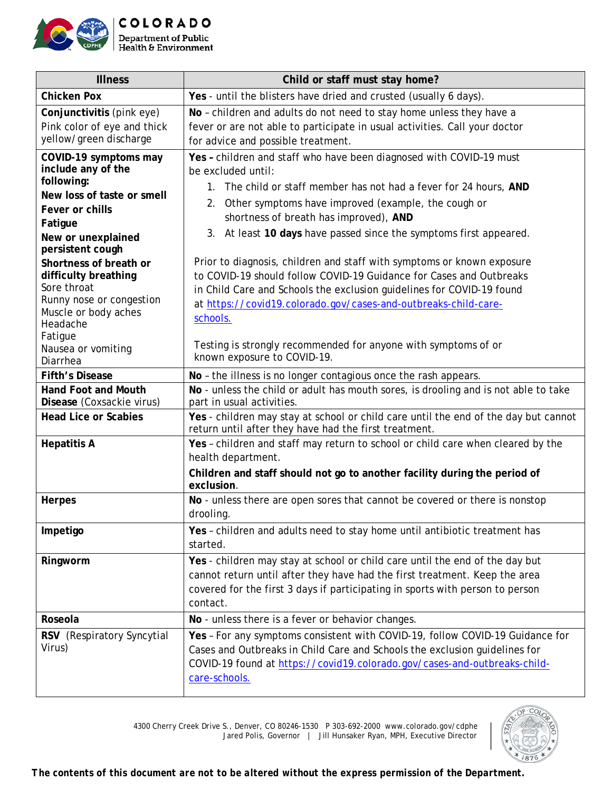

| <b>Illness</b>                                                                                                                                                                                                                                                                                                                                | Child or staff must stay home?                                                                                                                                                                                                                                                                                                                                                                                                                                                                                                                                                                                                                                                                                                                         |
|-----------------------------------------------------------------------------------------------------------------------------------------------------------------------------------------------------------------------------------------------------------------------------------------------------------------------------------------------|--------------------------------------------------------------------------------------------------------------------------------------------------------------------------------------------------------------------------------------------------------------------------------------------------------------------------------------------------------------------------------------------------------------------------------------------------------------------------------------------------------------------------------------------------------------------------------------------------------------------------------------------------------------------------------------------------------------------------------------------------------|
| <b>Chicken Pox</b>                                                                                                                                                                                                                                                                                                                            | Yes - until the blisters have dried and crusted (usually 6 days).                                                                                                                                                                                                                                                                                                                                                                                                                                                                                                                                                                                                                                                                                      |
| Conjunctivitis (pink eye)<br>Pink color of eye and thick<br>yellow/green discharge                                                                                                                                                                                                                                                            | No - children and adults do not need to stay home unless they have a<br>fever or are not able to participate in usual activities. Call your doctor<br>for advice and possible treatment.                                                                                                                                                                                                                                                                                                                                                                                                                                                                                                                                                               |
| COVID-19 symptoms may<br>include any of the<br>following:<br>New loss of taste or smell<br>Fever or chills<br>Fatigue<br>New or unexplained<br>persistent cough<br>Shortness of breath or<br>difficulty breathing<br>Sore throat<br>Runny nose or congestion<br>Muscle or body aches<br>Headache<br>Fatigue<br>Nausea or vomiting<br>Diarrhea | Yes - children and staff who have been diagnosed with COVID-19 must<br>be excluded until:<br>1. The child or staff member has not had a fever for 24 hours, AND<br>Other symptoms have improved (example, the cough or<br>2.<br>shortness of breath has improved), AND<br>3. At least 10 days have passed since the symptoms first appeared.<br>Prior to diagnosis, children and staff with symptoms or known exposure<br>to COVID-19 should follow COVID-19 Guidance for Cases and Outbreaks<br>in Child Care and Schools the exclusion guidelines for COVID-19 found<br>at https://covid19.colorado.gov/cases-and-outbreaks-child-care-<br>schools.<br>Testing is strongly recommended for anyone with symptoms of or<br>known exposure to COVID-19. |
| <b>Fifth's Disease</b>                                                                                                                                                                                                                                                                                                                        | No - the illness is no longer contagious once the rash appears.                                                                                                                                                                                                                                                                                                                                                                                                                                                                                                                                                                                                                                                                                        |
| <b>Hand Foot and Mouth</b><br>Disease (Coxsackie virus)                                                                                                                                                                                                                                                                                       | No - unless the child or adult has mouth sores, is drooling and is not able to take<br>part in usual activities.                                                                                                                                                                                                                                                                                                                                                                                                                                                                                                                                                                                                                                       |
| <b>Head Lice or Scabies</b>                                                                                                                                                                                                                                                                                                                   | Yes - children may stay at school or child care until the end of the day but cannot<br>return until after they have had the first treatment.                                                                                                                                                                                                                                                                                                                                                                                                                                                                                                                                                                                                           |
| <b>Hepatitis A</b>                                                                                                                                                                                                                                                                                                                            | Yes - children and staff may return to school or child care when cleared by the<br>health department.<br>Children and staff should not go to another facility during the period of<br>exclusion.                                                                                                                                                                                                                                                                                                                                                                                                                                                                                                                                                       |
| <b>Herpes</b>                                                                                                                                                                                                                                                                                                                                 | No - unless there are open sores that cannot be covered or there is nonstop<br>drooling.                                                                                                                                                                                                                                                                                                                                                                                                                                                                                                                                                                                                                                                               |
| Impetigo                                                                                                                                                                                                                                                                                                                                      | Yes - children and adults need to stay home until antibiotic treatment has<br>started.                                                                                                                                                                                                                                                                                                                                                                                                                                                                                                                                                                                                                                                                 |
| Ringworm                                                                                                                                                                                                                                                                                                                                      | Yes - children may stay at school or child care until the end of the day but<br>cannot return until after they have had the first treatment. Keep the area<br>covered for the first 3 days if participating in sports with person to person<br>contact.                                                                                                                                                                                                                                                                                                                                                                                                                                                                                                |
| Roseola                                                                                                                                                                                                                                                                                                                                       | No - unless there is a fever or behavior changes.                                                                                                                                                                                                                                                                                                                                                                                                                                                                                                                                                                                                                                                                                                      |
| RSV (Respiratory Syncytial<br>Virus)                                                                                                                                                                                                                                                                                                          | Yes - For any symptoms consistent with COVID-19, follow COVID-19 Guidance for<br>Cases and Outbreaks in Child Care and Schools the exclusion guidelines for                                                                                                                                                                                                                                                                                                                                                                                                                                                                                                                                                                                            |

COVID-19 found at https://covid19.colorado.gov/cases-and-outbreaks-childcare-schools.



*The contents of this document are not to be altered without the express permission of the Department.*